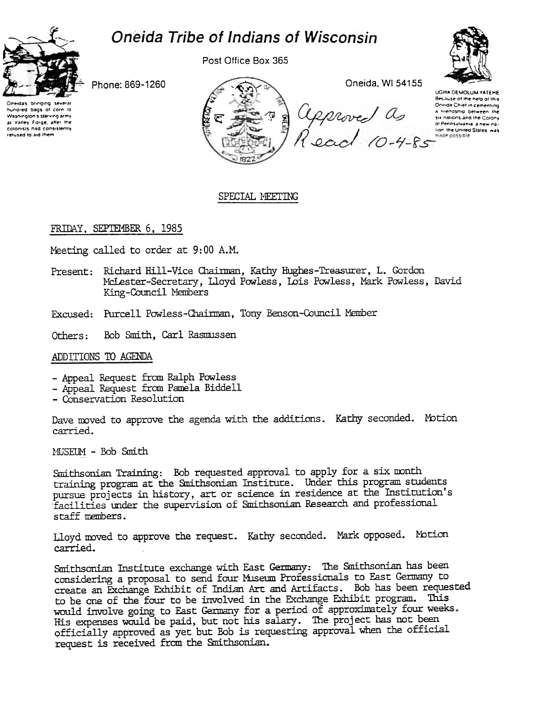# Oneida Tribe of Indians of Wisconsin



Post Office Box 365



Phone: 869-1260

Oneidas bringing severa hundred bags of corn to Washington's starving army at Valley Forge, after the colonists had consistently refused to aid them



# SPECIAL MEETING

# FRIDAY, SEPTEMBER 6, 1985

Meeting called to order at 9:00 A.M.

- Present: Richard Hill-Vice Chairman, Kathy Hughes-Treasurer, L. Gordon McLester-Secretary, Lloyd Powless, Lois Powless, Mark Powless, David King-Council Members
- Excused: Purcell Powless-Chairman, Tony Benson-Council Member
- Others: Bob Smith, Carl Rasmussen

# ADDITIONS TO AGENDA

- Appeal Request from Ralph Powless
- Appeal Request from Pamela Biddell
- Conservation Resolution

Dave moved to approve the agenda with the additions. Kathy seconded. Motion carried.

MUSEUM - Bob Smith

Smithsonian Training: Bob requested approval to apply for a six month training program at the Smithsonian Institute. Under this program students pursue projects in history, art or science in residence at the Institution's facilities under the supervision of Smithsonian Research and professional staff members.

Lloyd moved to approve the request. Kathy seconded. Mark opposed. Motion carried.

Smithsonian Institute exchange with East Germany: The Smithsonian has been considering a proposal to send four Museum Professionals to East Germany to create an Exchange Exhibit of Indian Art and Artifacts. Bob has been requested to be one of the four to be involved in the Exchange Exhibit program. This would involve going to East Germany for a period of approximately four weeks. His expenses would be paid, but not his salary. The project has not been officially approved as yet but Bob is requesting approval when the official request is received from the Smithsonian.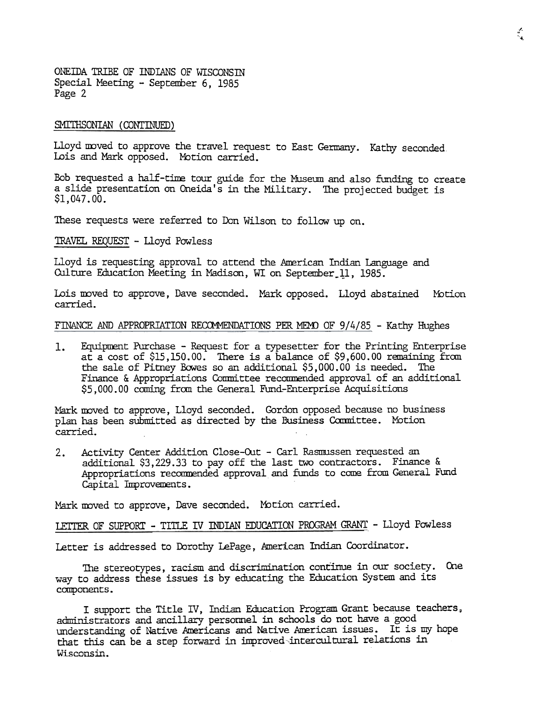ONEIDA TRIBE OF INDIANS OF WISCONSIN Special Meeting - September 6, 1985 Page 2

#### SMITHSONIAN (CONTINUED)

Lloyd moved to approve the travel request to East Germany. Kathy seconde Lois and Mark opposed. Motion carried.

Bob requested a half-time tour guide for the Museum and also funding to create a slide presentation on Oneida's in the Military. The projected budget is \$1,047.00.

These requests were referred to Don Wilson to follow up on.

TRAVEL REQUEST - Lloyd Powless

Lloyd is requesting approval to attend the American Indian Language and Culture Education Meeting in Madison, WI on September 11, 1985.

Lois moved to approve, Dave seconded. Mark opposed. Lloyd abstained Moti carried.

### FINANCE AND APPROPRIATION RECOMMENDATIONS PER MEMO OF  $9/4/85$  - Kathy Hughes

1. Equipment Purchase - Request for a typesetter for the Printing Enterprise at a cost of \$15,150. 00. There is a balance of \$9,600.00 remaining fran the sale of Pitney Bowes so an additional \$5, 000. 00 is needed. The Finance & Appropriations Committee recommended approval of an additional \$5,000.00 coming from the General Fund-Enterprise Acquisitions

Mark moved to approve, Lloyd seconded. Gordon opposed because no business plan has been submitted as directed by the Business Committee. Motion carried.

Activity Center Addition Close-Out - Carl Rasmussen requested an  $2.$ additional \$3,229.33 to payoff the last two contractors. Finance & Appropriations recommended approval and funds to come from General Fund Capital Improvements.

Mark moved to approve, Dave seconded. Motion carried.

LETTER OF SUPPORT - TITLE IV INDIAN EDUCATION PROGRAM GRANT - Lloyd Powless

Letter is addressed to Dorothy LePage, American Indian Coordinator.

The stereotypes, racism and discrimination continue in our society. Cne way to address these issues is by educating the Education System and its components.

I support the Title IV, Indian Education Program Grant because teachers, administrators and ancillary personnel in schools do not have a good understanding of Native Americans and Native American issues. It is my hope that this can be a step forward in improved intercultural relations in Wisconsin.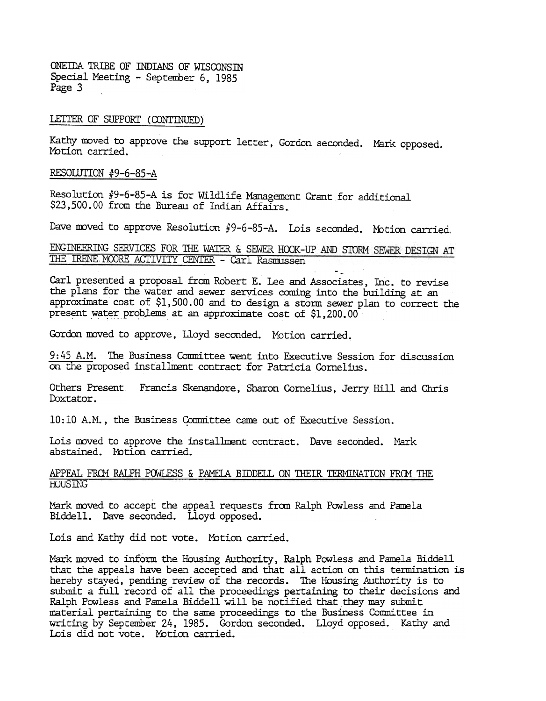ONEIDA TRIBE OF INDIANS OF WISCONSIN Special Meeting - September 6, 1985 Page 3

## LETTER OF SUPPORT (CONTINUED)

Kathy moved to approve the support letter, Gordon seconded. Mark opposed. Motion carried.

RESOLUTION  $#9-6-85-A$ 

Resolution #9-6-85-A is for Wildlife Management Grant for additional \$23,500.00 from the Bureau of Indian Affairs.

Dave moved to approve Resolution  $#9-6-85-A$ . Lois seconded. Motion carried.

ENGINEERING SERVICES FOR THE WATER & SEWER HOOK-UP AND STORM SEWER DESIGN AT THE IRENE MOORE ACTIVITY CENTER - Carl Rasmussen

- Carl presented a proposal from Robert E. Lee and Associates, Inc. to revise the plans for the water and sewer services coming into the building at an approximate cost of \$1,500.00 and to design a storm sewer plan to correct the present water problems at an approximate cost of \$1,200.00

Gordon moved to approve, Lloyd seconded. Motion carried.

9:45 A.M. The Business Committee went into Executive Session for discussion on the proposed installment contract for Patricia Cornelius.

Others Present Francis Skenandore, Sharon Cornelius, Jerry Hill and Chris Doxtator.

10:10 A.M., the Business Committee came out of Executive Session.

Lois moved to approve the installment contract. Dave seconded. Mark abstained. Motion carried.

# APPEAL FROM RALPH POWLESS & PAMELA BIDDELL ON THEIR TERMINATION FROM THE **HOUSTNG**

Mark moved to accept the appeal requests from Ralph Powless and Pamela Biddell. Dave seconded. Lloyd opposed.

Lois and Kathy did not vote. Motion carried.

Mark moved to inform the Housing Authority, Ralph Powless and Pamela Biddell that the appeals have been accepted and that all action on this termination is hereby stayed, pending review of the records. The Housing Authority is to submit a full record of all the proceedings pertaining to their decisions and Ralph Powless and Pamela Biddell will be notified that they may submit material pertaining to the same proceedings to the Business Committee in writing by September 24, 1985. Gordon seconded. Lloyd opposed. Kathy and Lois did not vote. Motion carried.